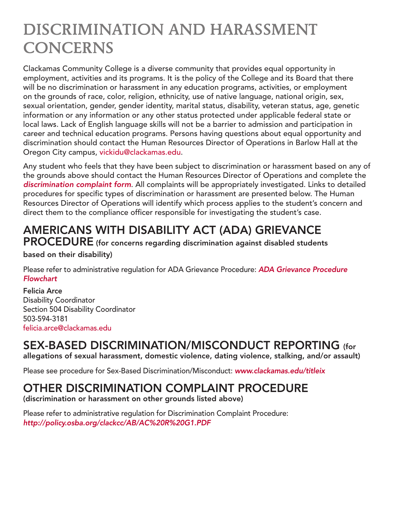# DISCRIMINATION AND HARASSMENT **CONCERNS**

Clackamas Community College is a diverse community that provides equal opportunity in employment, activities and its programs. It is the policy of the College and its Board that there will be no discrimination or harassment in any education programs, activities, or employment on the grounds of race, color, religion, ethnicity, use of native language, national origin, sex, sexual orientation, gender, gender identity, marital status, disability, veteran status, age, genetic information or any information or any other status protected under applicable federal state or local laws. Lack of English language skills will not be a barrier to admission and participation in career and technical education programs. Persons having questions about equal opportunity and discrimination should contact the Human Resources Director of Operations in Barlow Hall at the Oregon City campus, vickidu@clackamas.edu.

Any student who feels that they have been subject to discrimination or harassment based on any of the grounds above should contact the Human Resources Director of Operations and complete the *[discrimination complaint form](https://www.clackamas.edu/docs/default-source/about-us/hr-(jobs)/discrimnationcomplaintprocedure.pdf?sfvrsn=34e88b68_0)*. All complaints will be appropriately investigated. Links to detailed procedures for specific types of discrimination or harassment are presented below. The Human Resources Director of Operations will identify which process applies to the student's concern and direct them to the compliance officer responsible for investigating the student's case.

## AMERICANS WITH DISABILITY ACT (ADA) GRIEVANCE

PROCEDURE (for concerns regarding discrimination against disabled students

based on their disability)

Please refer to administrative regulation for ADA Grievance Procedure: *[ADA Grievance Procedure](https://www.clackamas.edu/docs/default-source/campus-life/disability-resource-center-(drc)/ada-complaint-flowchart.pdf?sfvrsn=6e9a8f68_2)  [Flowchart](https://www.clackamas.edu/docs/default-source/campus-life/disability-resource-center-(drc)/ada-complaint-flowchart.pdf?sfvrsn=6e9a8f68_2)*

Felicia Arce Disability Coordinator Section 504 Disability Coordinator 503-594-3181 felicia.arce[@clackamas.edu](mailto:christina.bruck@clackamas.edu)

### SEX-BASED DISCRIMINATION/MISCONDUCT REPORTING (for

allegations of sexual harassment, domestic violence, dating violence, stalking, and/or assault)

Please see procedure for Sex-Based Discrimination/Misconduct: *[www.clackamas.edu/](http://www.clackamas.edu/sexual-respect)titleix*

#### OTHER DISCRIMINATION COMPLAINT PROCEDURE

(discrimination or harassment on other grounds listed above)

Please refer to administrative regulation for Discrimination Complaint Procedure: *<http://policy.osba.org/clackcc/AB/AC%20R%20G1.PDF>*